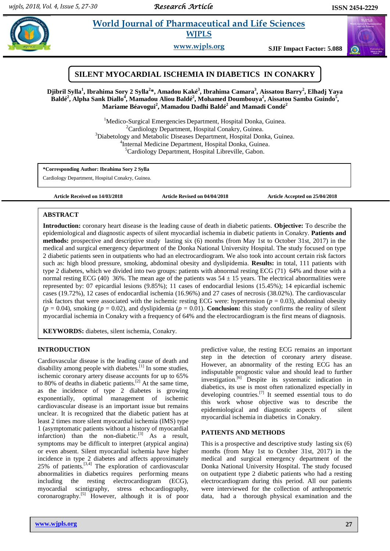# **Property and Morld Journal of Pharmaceutical and Life Sciences WJPLS**

**www.wjpls.org SJIF Impact Factor: 5.088**





<sup>1</sup>Medico-Surgical Emergencies Department, Hospital Donka, Guinea.  ${}^{2}$ Cardiology Department, Hospital Conakry, Guinea. <sup>3</sup>Diabetology and Metabolic Diseases Department, Hospital Donka, Guinea. 4 Internal Medicine Department, Hospital Donka, Guinea. <sup>5</sup>Cardiology Department, Hospital Libreville, Gabon.

**\*Corresponding Author: Ibrahima Sory 2 Sylla**

Cardiology Department, Hospital Conakry, Guinea.

**Article Received on 14/03/2018 Article Revised on 04/04/2018 Article Accepted on 25/04/2018**

## **ABSTRACT**

Introduction: coronary heart disease is the leading cause of death in diabetic patients. Objective: To describe the epidemiological and diagnostic aspects of silent myocardial ischemia in diabetic patients in Conakry. **Patients and methods:** prospective and descriptive study lasting six (6) months (from May 1st to October 31st, 2017) in the medical and surgical emergency department of the Donka National University Hospital. The study focused on type 2 diabetic patients seen in outpatients who had an electrocardiogram. We also took into account certain risk factors such as: high blood pressure, smoking, abdominal obesity and dyslipidemia. **Results:** in total, 111 patients with type 2 diabetes, which we divided into two groups: patients with abnormal resting ECG (71) 64% and those with a normal resting ECG (40) 36%. The mean age of the patients was  $54 \pm 15$  years. The electrical abnormalities were represented by: 07 epicardial lesions (9.85%); 11 cases of endocardial lesions (15.45%); 14 epicardial ischemic cases (19.72%), 12 cases of endocardial ischemia (16.96%) and 27 cases of necrosis (38.02%). The cardiovascular risk factors that were associated with the ischemic resting ECG were: hypertension (*p* = 0.03), abdominal obesity  $(p = 0.04)$ , smoking  $(p = 0.02)$ , and dyslipidemia  $(p = 0.01)$ . **Conclusion:** this study confirms the reality of silent myocardial ischemia in Conakry with a frequency of 64% and the electrocardiogram is the first means of diagnosis.

**KEYWORDS:** diabetes, silent ischemia, Conakry.

# **INTRODUCTION**

Cardiovascular disease is the leading cause of death and disability among people with diabetes.<sup>[1]</sup> In some studies, ischemic coronary artery disease accounts for up to 65% to 80% of deaths in diabetic patients.<sup>[2]</sup> At the same time, as the incidence of type 2 diabetes is growing exponentially, optimal management of ischemic cardiovascular disease is an important issue but remains unclear. It is recognized that the diabetic patient has at least 2 times more silent myocardial ischemia (IMS) type 1 (asymptomatic patients without a history of myocardial infarction) than the non-diabetic.<sup>[3]</sup> As a result, symptoms may be difficult to interpret (atypical angina) or even absent. Silent myocardial ischemia have higher incidence in type 2 diabetes and affects approximately  $25\%$  of patients.<sup>[3,4]</sup> The exploration of cardiovascular abnormalities in diabetics requires performing means including the resting electrocardiogram (ECG), myocardial scintigraphy, stress echocardiography, coronarography.[5] However, although it is of poor

predictive value, the resting ECG remains an important step in the detection of coronary artery disease. However, an abnormality of the resting ECG has an indisputable prognostic value and should lead to further investigation.[6] Despite its systematic indication in diabetics, its use is most often rationalized especially in developing countries.[7] It seemed essential tous to do this work whose objective was to describe the epidemiological and diagnostic aspects of silent myocardial ischemia in diabetics in Conakry.

## **PATIENTS AND METHODS**

This is a prospective and descriptive study lasting six (6) months (from May 1st to October 31st, 2017) in the medical and surgical emergency department of the Donka National University Hospital. The study focused on outpatient type 2 diabetic patients who had a resting electrocardiogram during this period. All our patients were interviewed for the collection of anthropometric data, had a thorough physical examination and the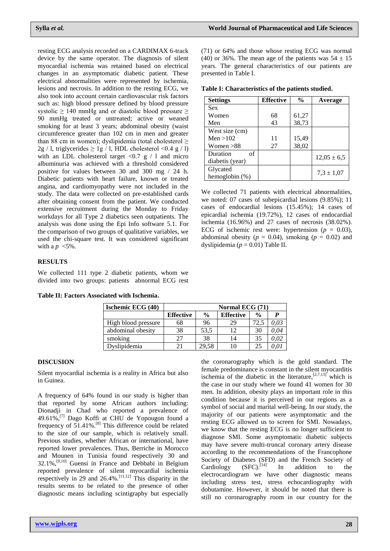resting ECG analysis recorded on a CARDIMAX 6-track device by the same operator. The diagnosis of silent myocardial ischemia was retained based on electrical changes in an asymptomatic diabetic patient. These electrical abnormalities were represented by ischemia, lesions and necrosis. In addition to the resting ECG, we also took into account certain cardiovascular risk factors such as: high blood pressure defined by blood pressure systolic  $\geq$  140 mmHg and or diastolic blood pressure  $\geq$ 90 mmHg treated or untreated; active or weaned smoking for at least 3 years; abdominal obesity (waist circumference greater than 102 cm in men and greater than 88 cm in women); dyslipidemia (total cholesterol  $\geq$  $2g / l$ , triglycerides  $\geq$  1g / l, HDL cholesterol <0.4 g / l) with an LDL cholesterol target  $\langle 0.7 \text{ g} / 1 \rangle$  and micro albuminuria was achieved with a threshold considered positive for values between 30 and 300 mg / 24 h. Diabetic patients with heart failure, known or treated angina, and cardiomyopathy were not included in the study. The data were collected on pre-established cards after obtaining consent from the patient. We conducted extensive recruitment during the Monday to Friday workdays for all Type 2 diabetics seen outpatients. The analysis was done using the Epi Info software 5.1. For the comparison of two groups of qualitative variables, we used the chi-square test. It was considered significant with a  $p \leq 5\%$ .

# **RESULTS**

We collected 111 type 2 diabetic patients, whom we divided into two groups: patients abnormal ECG rest

|  |  | Table II: Factors Associated with Ischemia. |  |  |
|--|--|---------------------------------------------|--|--|
|--|--|---------------------------------------------|--|--|

| <b>Ischemic ECG (40)</b> | Normal ECG (71)  |               |                  |               |      |  |
|--------------------------|------------------|---------------|------------------|---------------|------|--|
|                          | <b>Effective</b> | $\frac{6}{9}$ | <b>Effective</b> | $\frac{0}{0}$ | P    |  |
| High blood pressure      | 68               | 96            | 29               | 72.5          | 0,03 |  |
| abdominal obesity        | 38               | 53,5          | 12               | 30            | 0.04 |  |
| smoking                  | 27               | 38            | 14               | 35            | 0,02 |  |
| Dyslipidemia             | 21               | 29,58         | 10               | 25            | 0.01 |  |

#### **DISCUSION**

Silent myocardial ischemia is a reality in Africa but also in Guinea.

A frequency of 64% found in our study is higher than that reported by some African authors including: Dionadji in Chad who reported a prevalence of 49.61%,[7] Dago Koffi at CHU de Yopougon found a frequency of 51.41%.[8] This difference could be related to the size of our sample, which is relatively small. Previous studies, whether African or international, have reported lower prevalences. Thus, Berriche in Morocco and Mounen in Tunisia found respectively 30 and  $32.1\%$ ,<sup>[9,10]</sup> Guensi in France and Debbabi in Belgium reported prevalence of silent myocardial ischemia respectively in 29 and 26.4%.<sup>[11,12]</sup> This disparity in the results seems to be related to the presence of other diagnostic means including scintigraphy but especially

(71) or 64% and those whose resting ECG was normal (40) or 36%. The mean age of the patients was  $54 \pm 15$ years. The general characteristics of our patients are presented in Table I.

**Table I: Characteristics of the patients studied.**

| <b>Settings</b>   | <b>Effective</b> | $\frac{6}{9}$ | Average         |
|-------------------|------------------|---------------|-----------------|
| <b>Sex</b>        |                  |               |                 |
| Women             | 68               | 61,27         |                 |
| Men               | 43               | 38,73         |                 |
| West size (cm)    |                  |               |                 |
| Men $>102$        | 11               | 15,49         |                 |
| Women $>88$       | 27               | 38,02         |                 |
| Duration<br>of    |                  |               | $12,05 \pm 6,5$ |
| diabetis (year)   |                  |               |                 |
| Glycated          |                  |               |                 |
| hemoglobin $(\%)$ |                  |               | $7,3 \pm 1,07$  |

We collected 71 patients with electrical abnormalities, we noted: 07 cases of subepicardial lesions (9.85%); 11 cases of endocardial lesions (15.45%); 14 cases of epicardial ischemia (19.72%), 12 cases of endocardial ischemia (16.96%) and 27 cases of necrosis (38.02%). ECG of ischemic rest were: hypertension ( $p = 0.03$ ), abdominal obesity ( $p = 0.04$ ), smoking ( $p = 0.02$ ) and dyslipidemia (*p* = 0.01) Table II.

the coronarography which is the gold standard. The female predominance is constant in the silent myocarditis ischemia of the diabetic in the literature, $[2,7,13]$  which is the case in our study where we found 41 women for 30 men. In addition, obesity plays an important role in this condition because it is perceived in our regions as a symbol of social and marital well-being. In our study, the majority of our patients were asymptomatic and the resting ECG allowed us to screen for SMI. Nowadays, we know that the resting ECG is no longer sufficient to diagnose SMI. Some asymptomatic diabetic subjects may have severe multi-truncal coronary artery disease according to the recommendations of the Francophone Society of Diabetes (SFD) and the French Society of Cardiology  $(SFC).^{[14]}$  In addition to the electrocardiogram we have other diagnostic means including stress test, stress echocardiography with dobutamine. However, it should be noted that there is still no coronarography room in our country for the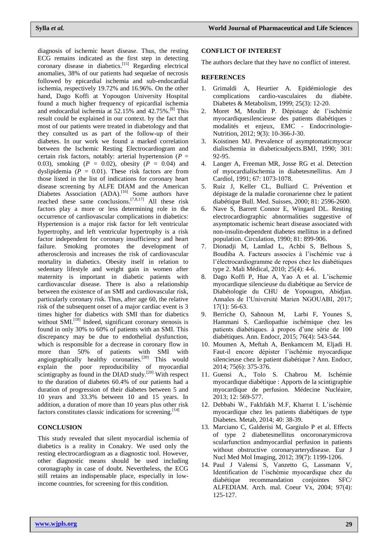diagnosis of ischemic heart disease. Thus, the resting ECG remains indicated as the first step in detecting coronary disease in diabetics.<sup>[15]</sup> Regarding electrical anomalies, 38% of our patients had sequelae of necrosis followed by epicardial ischemia and sub-endocardial ischemia, respectively 19.72% and 16.96%. On the other hand, Dago Koffi at Yopougon University Hospital found a much higher frequency of epicardial ischemia and endocardial ischemia at 52.15% and 42.75%.[8] This result could be explained in our context. by the fact that most of our patients were treated in diabetology and that they consulted us as part of the follow-up of their diabetes. In our work we found a marked correlation between the Ischemic Resting Electrocardiogram and certain risk factors, notably: arterial hypertension (*P* = 0.03), smoking  $(P = 0.02)$ , obesity  $(P = 0.04)$  and dyslipidemia  $(P = 0.01)$ . These risk factors are from those listed in the list of indications for coronary heart disease screening by ALFE DIAM and the American Diabetes Association (ADA).<sup>[16]</sup> Some authors have reached these same conclusions.<sup>[7,8,17]</sup> All these risk factors play a more or less determining role in the occurrence of cardiovascular complications in diabetics: Hypertension is a major risk factor for left ventricular hypertrophy, and left ventricular hypertrophy is a risk factor independent for coronary insufficiency and heart failure. Smoking promotes the development of atherosclerosis and increases the risk of cardiovascular mortality in diabetics. Obesity itself in relation to sedentary lifestyle and weight gain in women after maternity is important in diabetic patients with cardiovascular disease. There is also a relationship between the existence of an SMI and cardiovascular risk, particularly coronary risk. Thus, after age 60, the relative risk of the subsequent onset of a major cardiac event is 3 times higher for diabetics with SMI than for diabetics without SMI.<sup>[18]</sup> Indeed, significant coronary stenosis is found in only 30% to 60% of patients with an SMI. This discrepancy may be due to endothelial dysfunction, which is responsible for a decrease in coronary flow in more than 50% of patients with SMI with angiographically healthy coronaries.<sup>[20]</sup> This would explain the poor reproducibility of myocardial scintigraphy as found in the DIAD study.<sup>[20]</sup> With respect to the duration of diabetes 60.4% of our patients had a duration of progression of their diabetes between 5 and 10 years and 33.3% between 10 and 15 years. In addition, a duration of more than 10 years plus other risk factors constitutes classic indications for screening.[14]

# **CONCLUSION**

This study revealed that silent myocardial ischemia of diabetics is a reality in Conakry. We used only the resting electrocardiogram as a diagnostic tool. However, other diagnostic means should be used including coronagraphy in case of doubt. Nevertheless, the ECG still retains an indispensable place, especially in lowincome countries, for screening for this condition.

## **CONFLICT OF INTEREST**

The authors declare that they have no conflict of interest.

#### **REFERENCES**

- 1. Grimaldi A, Heurtier A. Epidémiologie des complications cardio-vasculaires du diabète. Diabetes & Metabolism, 1999; 25(3): 12-20.
- 2. Moret M, Moulin P. Dépistage de l'ischémie myocardiquesilencieuse des patients diabétiques : modalités et enjeux, EMC - Endocrinologie-Nutrition, 2012; 9(3): 10-366-J-30.
- 3. Koistinen MJ. Prevalence of asymptomaticmyocar dialischemia in diabeticsubjects.BMJ, 1990; 301: 92-95.
- 4. Langer A, Freeman MR, Josse RG et al. Detection of myocardialischemia in diabetesmellitus. Am J Cardiol, 1991; 67: 1073-1078.
- 5. Ruiz J, Keller CL, Bulliard C. Prévention et dépistage de la maladie coronarienne chez le patient diabétique Bull. Med. Suisses, 2000; 81: 2596-2600.
- 6. Nave S, Barrett Connor E, Wingard DL. Resting electrocardiographic abnormalities suggestive of asymptomatic ischemic heart disease associated with non-insulin-dependent diabetes mellitus in a defined population. Circulation, 1990; 81: 899-906.
- 7. Dionadji M, Lamlad L, Achbi S, Belhous S, Boudiba A. Facteurs associes à l'ischémie vue à l'électrocardiogramme de repos chez les diabétiques type 2. Mali Médical, 2010; 25(4): 4-6.
- 8. Dago Koffi P, Hue A, Yao A et al. L'ischemie myocardique silencieuse du diabétique au Service de Diabétologie du CHU de Yopougon, Abidjan. Annales de l'Université Marien NGOUABI, 2017; 17(1): 56-63.
- 9. Berriche O, Sahnoun M, Larbi F, Younes S, Hammani S. Cardiopathie ischémique chez les patients diabétiques. à propos d'une série de 100 diabétiques. Ann. Endocr, 2015; 76(4): 543-544.
- 10. Moumen A, Meftah A, Benkamcem M, Eljadi H. Faut-il encore dépister l'ischémie myocardique silencieuse chez le patient diabétique ? Ann. Endocr, 2014; 75(6): 375-376.
- 11. Guensi A., Tolo S. Chabrou M. Ischémie myocardique diabétique : Apports de la scintigraphie myocardique de perfusion. Médecine Nucléaire, 2013; 12: 569-577.
- 12. Debbabi W., Fakhfakh M.F, Kharrat I. L'ischémie myocardique chez les patients diabétiques de type Diabetes. Metab, 2014; 40: 38-39.
- 13. Marciano C, Galderisi M, Gargiulo P et al. Effects of type 2 diabetesmellitus oncoronarymicrova scularfunction andmyocardial perfusion in patients without obstructive coronaryarterydisease. Eur J Nucl Med Mol Imaging, 2012; 39(7): 1199-1206.
- 14. Paul J Valensi S, Vanzetto G, Lassmann V, Identification de l'ischémie myocardique chez du diabétique recommandation conjointes SFC/ ALFEDIAM. Arch. mal. Coeur Vx, 2004; 97(4): 125-127.